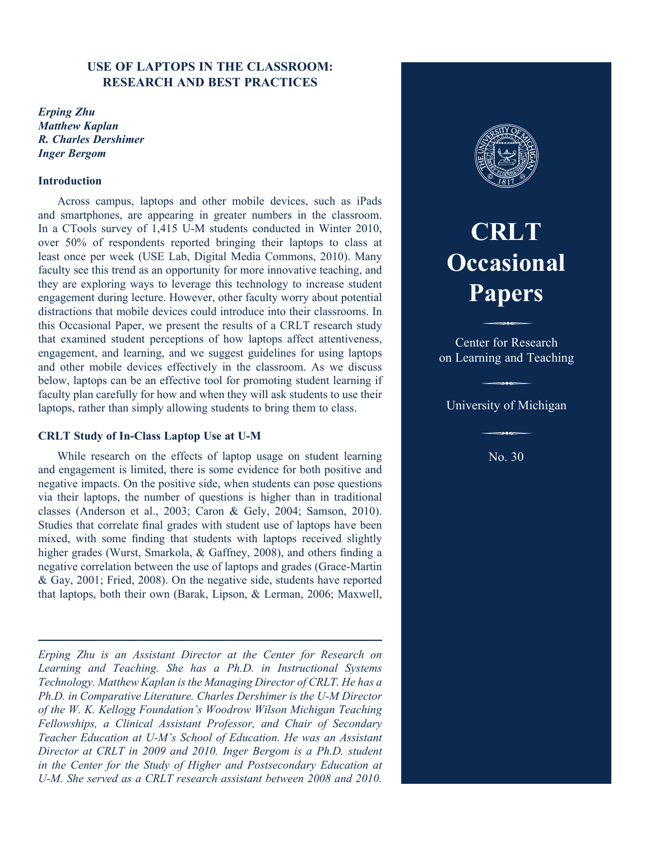# **USE OF LAPTOPS IN THE CLASSROOM: RESEARCH AND BEST PRACTICES**

*Erping Zhu Matthew Kaplan R. Charles Dershimer Inger Bergom*

#### **Introduction**

Across campus, laptops and other mobile devices, such as iPads and smartphones, are appearing in greater numbers in the classroom. In a CTools survey of 1,415 U-M students conducted in Winter 2010, over 50% of respondents reported bringing their laptops to class at least once per week (USE Lab, Digital Media Commons, 2010). Many faculty see this trend as an opportunity for more innovative teaching, and they are exploring ways to leverage this technology to increase student engagement during lecture. However, other faculty worry about potential distractions that mobile devices could introduce into their classrooms. In this Occasional Paper, we present the results of a CRLT research study that examined student perceptions of how laptops affect attentiveness, engagement, and learning, and we suggest guidelines for using laptops and other mobile devices effectively in the classroom. As we discuss below, laptops can be an effective tool for promoting student learning if faculty plan carefully for how and when they will ask students to use their laptops, rather than simply allowing students to bring them to class.

#### **CRLT Study of In-Class Laptop Use at U-M**

While research on the effects of laptop usage on student learning and engagement is limited, there is some evidence for both positive and negative impacts. On the positive side, when students can pose questions via their laptops, the number of questions is higher than in traditional classes (Anderson et al., 2003; Caron & Gely, 2004; Samson, 2010). Studies that correlate final grades with student use of laptops have been mixed, with some finding that students with laptops received slightly higher grades (Wurst, Smarkola, & Gaffney, 2008), and others finding a negative correlation between the use of laptops and grades (Grace-Martin & Gay, 2001; Fried, 2008). On the negative side, students have reported that laptops, both their own (Barak, Lipson, & Lerman, 2006; Maxwell,

*Erping Zhu is an Assistant Director at the Center for Research on Learning and Teaching. She has a Ph.D. in Instructional Systems Technology. Matthew Kaplan is the Managing Director of CRLT. He has a Ph.D. in Comparative Literature. Charles Dershimer is the U-M Director of the W. K. Kellogg Foundation's Woodrow Wilson Michigan Teaching Fellowships, a Clinical Assistant Professor, and Chair of Secondary Teacher Education at U-M's School of Education. He was an Assistant Director at CRLT in 2009 and 2010. Inger Bergom is a Ph.D. student in the Center for the Study of Higher and Postsecondary Education at U-M. She served as a CRLT research assistant between 2008 and 2010.*



# **CRLT Occasional Papers** P

Center for Research on Learning and Teaching

# University of Michigan

No. 30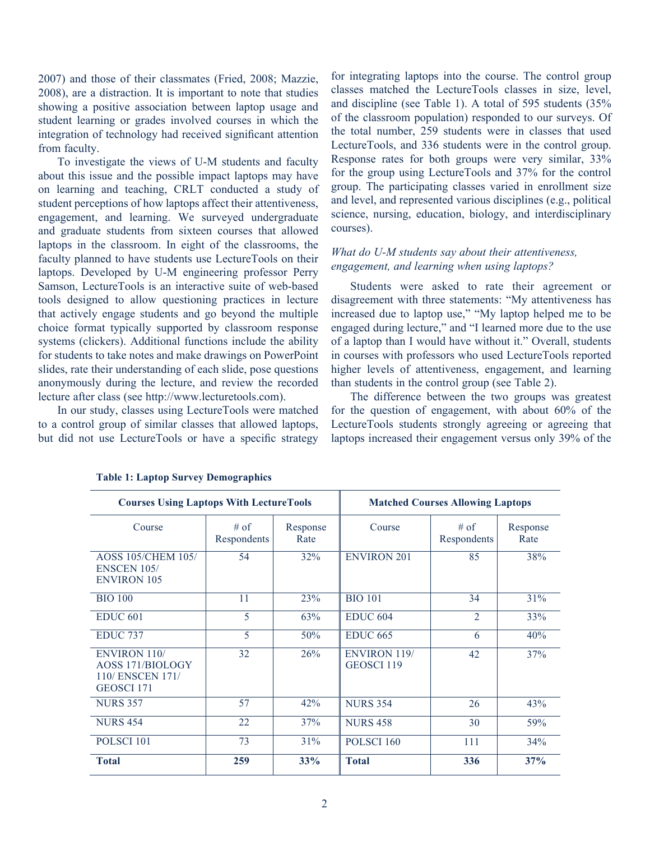2007) and those of their classmates (Fried, 2008; Mazzie, 2008), are a distraction. It is important to note that studies showing a positive association between laptop usage and student learning or grades involved courses in which the integration of technology had received significant attention from faculty.

To investigate the views of U-M students and faculty about this issue and the possible impact laptops may have on learning and teaching, CRLT conducted a study of student perceptions of how laptops affect their attentiveness, engagement, and learning. We surveyed undergraduate and graduate students from sixteen courses that allowed laptops in the classroom. In eight of the classrooms, the faculty planned to have students use LectureTools on their laptops. Developed by U-M engineering professor Perry Samson, LectureTools is an interactive suite of web-based tools designed to allow questioning practices in lecture that actively engage students and go beyond the multiple choice format typically supported by classroom response systems (clickers). Additional functions include the ability for students to take notes and make drawings on PowerPoint slides, rate their understanding of each slide, pose questions anonymously during the lecture, and review the recorded lecture after class (see http://www.lecturetools.com).

In our study, classes using LectureTools were matched to a control group of similar classes that allowed laptops, but did not use LectureTools or have a specific strategy

for integrating laptops into the course. The control group classes matched the LectureTools classes in size, level, and discipline (see Table 1). A total of 595 students (35% of the classroom population) responded to our surveys. Of the total number, 259 students were in classes that used LectureTools, and 336 students were in the control group. Response rates for both groups were very similar, 33% for the group using LectureTools and 37% for the control group. The participating classes varied in enrollment size and level, and represented various disciplines (e.g., political science, nursing, education, biology, and interdisciplinary courses).

# *What do U-M students say about their attentiveness, engagement, and learning when using laptops?*

Students were asked to rate their agreement or disagreement with three statements: "My attentiveness has increased due to laptop use," "My laptop helped me to be engaged during lecture," and "I learned more due to the use of a laptop than I would have without it." Overall, students in courses with professors who used LectureTools reported higher levels of attentiveness, engagement, and learning than students in the control group (see Table 2).

The difference between the two groups was greatest for the question of engagement, with about 60% of the LectureTools students strongly agreeing or agreeing that laptops increased their engagement versus only 39% of the

| <b>Courses Using Laptops With LectureTools</b>                            |                       |                  | <b>Matched Courses Allowing Laptops</b> |                     |                  |  |
|---------------------------------------------------------------------------|-----------------------|------------------|-----------------------------------------|---------------------|------------------|--|
| Course                                                                    | $#$ of<br>Respondents | Response<br>Rate | Course                                  | # of<br>Respondents | Response<br>Rate |  |
| <b>AOSS 105/CHEM 105/</b><br><b>ENSCEN 105/</b><br><b>ENVIRON 105</b>     | 54                    | 32%              | <b>ENVIRON 201</b>                      | 85                  | 38%              |  |
| <b>BIO 100</b>                                                            | 11                    | 23%              | <b>BIO 101</b>                          | 34                  | 31%              |  |
| <b>EDUC 601</b>                                                           | 5                     | 63%              | <b>EDUC 604</b>                         | $\overline{2}$      | 33%              |  |
| <b>EDUC 737</b>                                                           | 5                     | 50%              | <b>EDUC 665</b>                         | 6                   | 40%              |  |
| <b>ENVIRON 110/</b><br>AOSS 171/BIOLOGY<br>110/ ENSCEN 171/<br>GEOSCI 171 | 32                    | 26%              | <b>ENVIRON 119/</b><br>GEOSCI 119       | 42                  | 37%              |  |
| <b>NURS 357</b>                                                           | 57                    | 42%              | <b>NURS 354</b>                         | 26                  | 43%              |  |
| <b>NURS 454</b>                                                           | 22                    | 37%              | <b>NURS 458</b>                         | 30                  | 59%              |  |
| POLSCI <sub>101</sub>                                                     | 73                    | 31%              | POLSCI <sub>160</sub>                   | 111                 | 34%              |  |
| <b>Total</b>                                                              | 259                   | 33%              | <b>Total</b>                            | 336                 | 37%              |  |

#### **Table 1: Laptop Survey Demographics**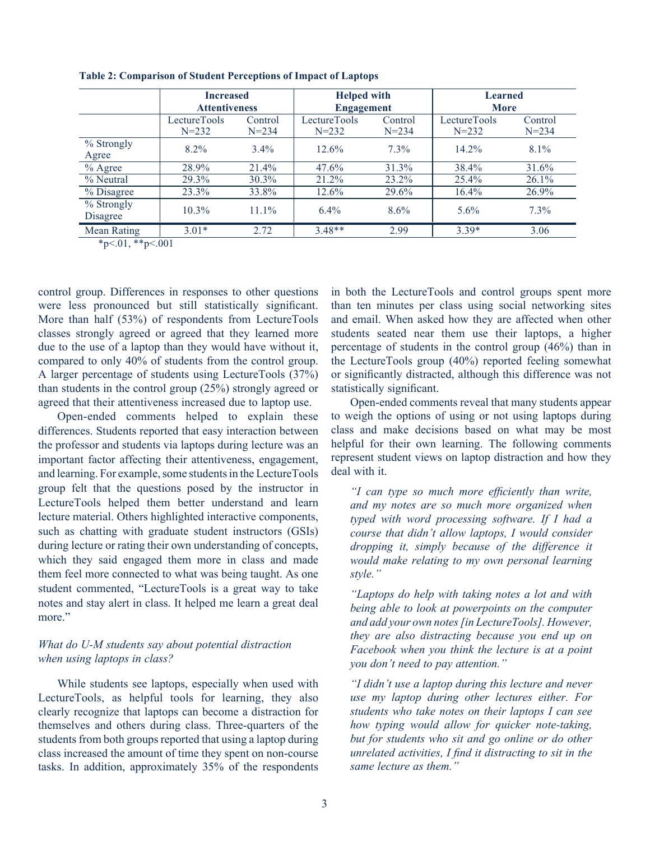|                                           | <b>Increased</b><br><b>Attentiveness</b> |                      | <b>Helped with</b><br><b>Engagement</b> |                      | <b>Learned</b><br><b>More</b> |                      |
|-------------------------------------------|------------------------------------------|----------------------|-----------------------------------------|----------------------|-------------------------------|----------------------|
|                                           | LectureTools<br>$N = 232$                | Control<br>$N = 234$ | LectureTools<br>$N = 232$               | Control<br>$N = 234$ | LectureTools<br>$N = 232$     | Control<br>$N = 234$ |
| % Strongly<br>Agree                       | $8.2\%$                                  | $3.4\%$              | 12.6%                                   | $7.3\%$              | $14.2\%$                      | $8.1\%$              |
| $%$ Agree                                 | 28.9%                                    | 21.4%                | $47.6\%$                                | $31.3\%$             | 38.4%                         | 31.6%                |
| % Neutral                                 | 29.3%                                    | $30.3\%$             | 21.2%                                   | $23.2\%$             | $25.4\%$                      | $26.1\%$             |
| % Disagree                                | 23.3%                                    | 33.8%                | 12.6%                                   | 29.6%                | 16.4%                         | 26.9%                |
| $%$ Strongly<br>Disagree                  | $10.3\%$                                 | $11.1\%$             | $6.4\%$                                 | $8.6\%$              | $5.6\%$                       | $7.3\%$              |
| <b>Mean Rating</b><br>also a chief alsola | $3.01*$<br>.001                          | 2.72                 | $3.48**$                                | 2.99                 | $3.39*$                       | 3.06                 |

**Table 2: Comparison of Student Perceptions of Impact of Laptops** 

 $*_{p<.01,**_{p<.001}}$ 

control group. Differences in responses to other questions were less pronounced but still statistically significant. More than half (53%) of respondents from LectureTools classes strongly agreed or agreed that they learned more due to the use of a laptop than they would have without it, compared to only 40% of students from the control group. A larger percentage of students using LectureTools (37%) than students in the control group (25%) strongly agreed or agreed that their attentiveness increased due to laptop use.

Open-ended comments helped to explain these differences. Students reported that easy interaction between the professor and students via laptops during lecture was an important factor affecting their attentiveness, engagement, and learning. For example, some students in the LectureTools group felt that the questions posed by the instructor in LectureTools helped them better understand and learn lecture material. Others highlighted interactive components, such as chatting with graduate student instructors (GSIs) during lecture or rating their own understanding of concepts, which they said engaged them more in class and made them feel more connected to what was being taught. As one student commented, "LectureTools is a great way to take notes and stay alert in class. It helped me learn a great deal more"

# *What do U-M students say about potential distraction when using laptops in class?*

While students see laptops, especially when used with LectureTools, as helpful tools for learning, they also clearly recognize that laptops can become a distraction for themselves and others during class. Three-quarters of the students from both groups reported that using a laptop during class increased the amount of time they spent on non-course tasks. In addition, approximately 35% of the respondents

in both the LectureTools and control groups spent more than ten minutes per class using social networking sites and email. When asked how they are affected when other students seated near them use their laptops, a higher percentage of students in the control group (46%) than in the LectureTools group (40%) reported feeling somewhat or significantly distracted, although this difference was not statistically significant.

Open-ended comments reveal that many students appear to weigh the options of using or not using laptops during class and make decisions based on what may be most helpful for their own learning. The following comments represent student views on laptop distraction and how they deal with it.

*"I can type so much more efficiently than write, and my notes are so much more organized when typed with word processing software. If I had a course that didn't allow laptops, I would consider dropping it, simply because of the difference it would make relating to my own personal learning style."*

*"Laptops do help with taking notes a lot and with being able to look at powerpoints on the computer and add your own notes [in LectureTools]. However, they are also distracting because you end up on Facebook when you think the lecture is at a point you don't need to pay attention."*

*"I didn't use a laptop during this lecture and never use my laptop during other lectures either. For students who take notes on their laptops I can see how typing would allow for quicker note-taking, but for students who sit and go online or do other unrelated activities, I find it distracting to sit in the same lecture as them."*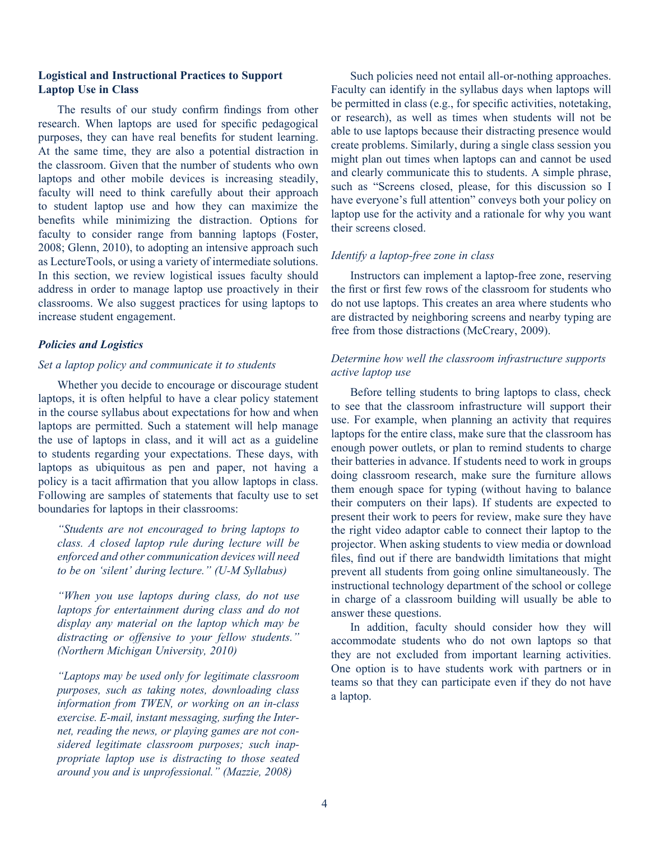#### **Logistical and Instructional Practices to Support Laptop Use in Class**

The results of our study confirm findings from other research. When laptops are used for specific pedagogical purposes, they can have real benefits for student learning. At the same time, they are also a potential distraction in the classroom. Given that the number of students who own laptops and other mobile devices is increasing steadily, faculty will need to think carefully about their approach to student laptop use and how they can maximize the benefits while minimizing the distraction. Options for faculty to consider range from banning laptops (Foster, 2008; Glenn, 2010), to adopting an intensive approach such as LectureTools, or using a variety of intermediate solutions. In this section, we review logistical issues faculty should address in order to manage laptop use proactively in their classrooms. We also suggest practices for using laptops to increase student engagement.

## *Policies and Logistics*

#### *Set a laptop policy and communicate it to students*

Whether you decide to encourage or discourage student laptops, it is often helpful to have a clear policy statement in the course syllabus about expectations for how and when laptops are permitted. Such a statement will help manage the use of laptops in class, and it will act as a guideline to students regarding your expectations. These days, with laptops as ubiquitous as pen and paper, not having a policy is a tacit affirmation that you allow laptops in class. Following are samples of statements that faculty use to set boundaries for laptops in their classrooms:

*"Students are not encouraged to bring laptops to class. A closed laptop rule during lecture will be enforced and other communication devices will need to be on 'silent' during lecture." (U-M Syllabus)*

*"When you use laptops during class, do not use laptops for entertainment during class and do not display any material on the laptop which may be distracting or offensive to your fellow students." (Northern Michigan University, 2010)*

*"Laptops may be used only for legitimate classroom purposes, such as taking notes, downloading class information from TWEN, or working on an in-class exercise. E-mail, instant messaging, surfing the Internet, reading the news, or playing games are not considered legitimate classroom purposes; such inappropriate laptop use is distracting to those seated around you and is unprofessional." (Mazzie, 2008)*

Such policies need not entail all-or-nothing approaches. Faculty can identify in the syllabus days when laptops will be permitted in class (e.g., for specific activities, notetaking, or research), as well as times when students will not be able to use laptops because their distracting presence would create problems. Similarly, during a single class session you might plan out times when laptops can and cannot be used and clearly communicate this to students. A simple phrase, such as "Screens closed, please, for this discussion so I have everyone's full attention" conveys both your policy on laptop use for the activity and a rationale for why you want their screens closed.

# *Identify a laptop-free zone in class*

Instructors can implement a laptop-free zone, reserving the first or first few rows of the classroom for students who do not use laptops. This creates an area where students who are distracted by neighboring screens and nearby typing are free from those distractions (McCreary, 2009).

# *Determine how well the classroom infrastructure supports active laptop use*

Before telling students to bring laptops to class, check to see that the classroom infrastructure will support their use. For example, when planning an activity that requires laptops for the entire class, make sure that the classroom has enough power outlets, or plan to remind students to charge their batteries in advance. If students need to work in groups doing classroom research, make sure the furniture allows them enough space for typing (without having to balance their computers on their laps). If students are expected to present their work to peers for review, make sure they have the right video adaptor cable to connect their laptop to the projector. When asking students to view media or download files, find out if there are bandwidth limitations that might prevent all students from going online simultaneously. The instructional technology department of the school or college in charge of a classroom building will usually be able to answer these questions.

In addition, faculty should consider how they will accommodate students who do not own laptops so that they are not excluded from important learning activities. One option is to have students work with partners or in teams so that they can participate even if they do not have a laptop.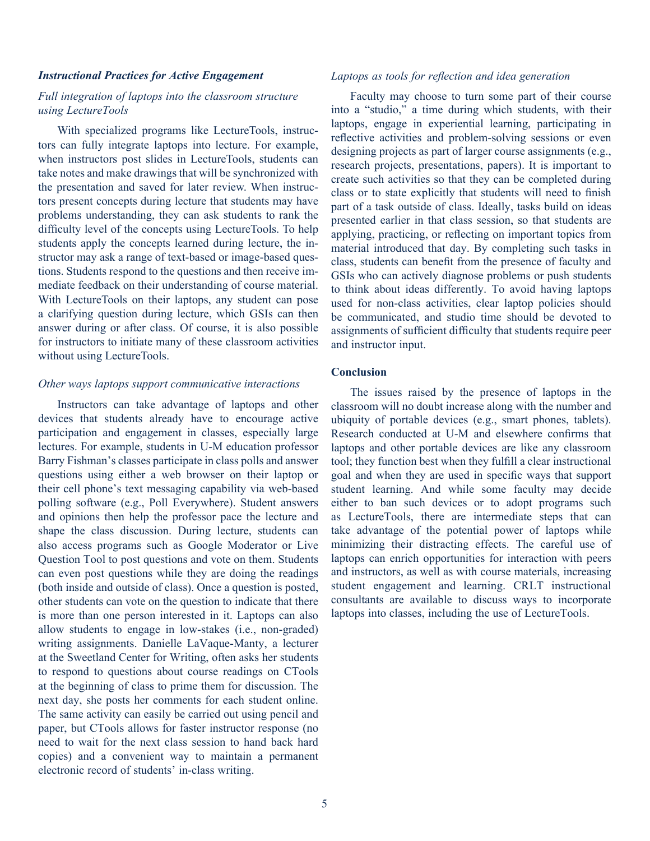#### *Instructional Practices for Active Engagement*

# *Full integration of laptops into the classroom structure using LectureTools*

With specialized programs like LectureTools, instructors can fully integrate laptops into lecture. For example, when instructors post slides in LectureTools, students can take notes and make drawings that will be synchronized with the presentation and saved for later review. When instructors present concepts during lecture that students may have problems understanding, they can ask students to rank the difficulty level of the concepts using LectureTools. To help students apply the concepts learned during lecture, the instructor may ask a range of text-based or image-based questions. Students respond to the questions and then receive immediate feedback on their understanding of course material. With LectureTools on their laptops, any student can pose a clarifying question during lecture, which GSIs can then answer during or after class. Of course, it is also possible for instructors to initiate many of these classroom activities without using LectureTools.

#### *Other ways laptops support communicative interactions*

Instructors can take advantage of laptops and other devices that students already have to encourage active participation and engagement in classes, especially large lectures. For example, students in U-M education professor Barry Fishman's classes participate in class polls and answer questions using either a web browser on their laptop or their cell phone's text messaging capability via web-based polling software (e.g., Poll Everywhere). Student answers and opinions then help the professor pace the lecture and shape the class discussion. During lecture, students can also access programs such as Google Moderator or Live Question Tool to post questions and vote on them. Students can even post questions while they are doing the readings (both inside and outside of class). Once a question is posted, other students can vote on the question to indicate that there is more than one person interested in it. Laptops can also allow students to engage in low-stakes (i.e., non-graded) writing assignments. Danielle LaVaque-Manty, a lecturer at the Sweetland Center for Writing, often asks her students to respond to questions about course readings on CTools at the beginning of class to prime them for discussion. The next day, she posts her comments for each student online. The same activity can easily be carried out using pencil and paper, but CTools allows for faster instructor response (no need to wait for the next class session to hand back hard copies) and a convenient way to maintain a permanent electronic record of students' in-class writing.

## *Laptops as tools for reflection and idea generation*

Faculty may choose to turn some part of their course into a "studio," a time during which students, with their laptops, engage in experiential learning, participating in reflective activities and problem-solving sessions or even designing projects as part of larger course assignments (e.g., research projects, presentations, papers). It is important to create such activities so that they can be completed during class or to state explicitly that students will need to finish part of a task outside of class. Ideally, tasks build on ideas presented earlier in that class session, so that students are applying, practicing, or reflecting on important topics from material introduced that day. By completing such tasks in class, students can benefit from the presence of faculty and GSIs who can actively diagnose problems or push students to think about ideas differently. To avoid having laptops used for non-class activities, clear laptop policies should be communicated, and studio time should be devoted to assignments of sufficient difficulty that students require peer and instructor input.

#### **Conclusion**

The issues raised by the presence of laptops in the classroom will no doubt increase along with the number and ubiquity of portable devices (e.g., smart phones, tablets). Research conducted at U-M and elsewhere confirms that laptops and other portable devices are like any classroom tool; they function best when they fulfill a clear instructional goal and when they are used in specific ways that support student learning. And while some faculty may decide either to ban such devices or to adopt programs such as LectureTools, there are intermediate steps that can take advantage of the potential power of laptops while minimizing their distracting effects. The careful use of laptops can enrich opportunities for interaction with peers and instructors, as well as with course materials, increasing student engagement and learning. CRLT instructional consultants are available to discuss ways to incorporate laptops into classes, including the use of LectureTools.